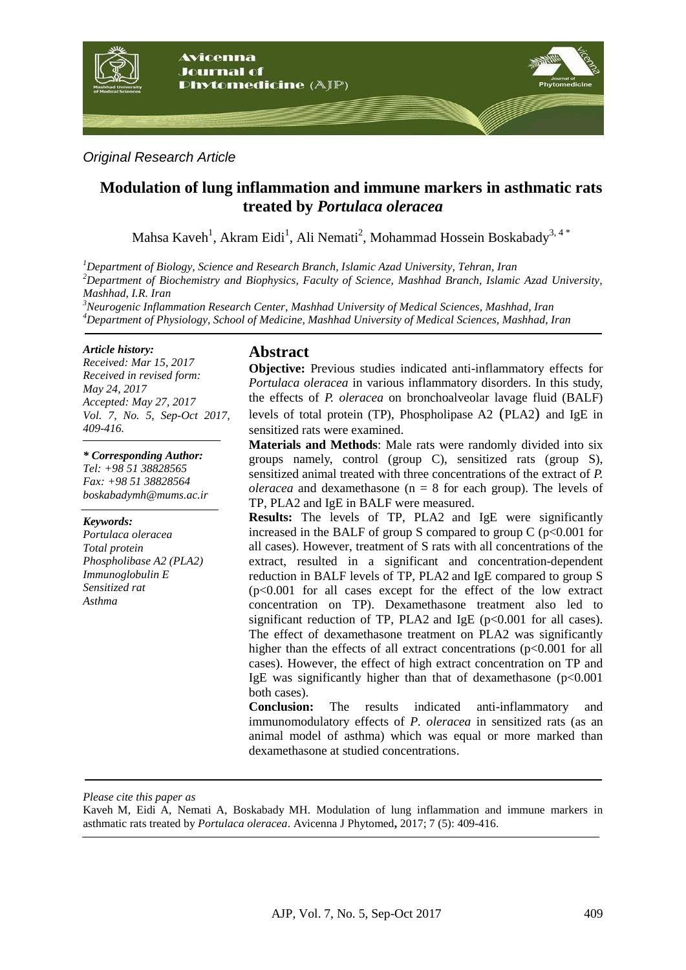

### *Original Research Article*

# **Modulation of lung inflammation and immune markers in asthmatic rats treated by** *Portulaca oleracea*

Mahsa Kaveh<sup>1</sup>, Akram Eidi<sup>1</sup>, Ali Nemati<sup>2</sup>, Mohammad Hossein Boskabady<sup>3, 4</sup>\*

*<sup>1</sup>Department of Biology, Science and Research Branch, Islamic Azad University, Tehran, Iran <sup>2</sup>Department of Biochemistry and Biophysics, Faculty of Science, Mashhad Branch, Islamic Azad University, Mashhad, I.R. Iran*

*<sup>3</sup>Neurogenic Inflammation Research Center, Mashhad University of Medical Sciences, Mashhad, Iran <sup>4</sup>Department of Physiology, School of Medicine, Mashhad University of Medical Sciences, Mashhad, Iran*

#### *Article history:*

*Received: Mar 15, 2017 Received in revised form: May 24, 2017 Accepted: May 27, 2017 Vol. 7, No. 5, Sep-Oct 2017, 409-416.*

*\* Corresponding Author: Tel: +98 51 38828565 Fax: +98 51 38828564 boskabadymh@mums.ac.ir*

#### *Keywords:*

*Portulaca oleracea Total protein Phospholibase A2 (PLA2) Immunoglobulin E Sensitized rat Asthma*

#### **Abstract**

**Objective:** Previous studies indicated anti-inflammatory effects for *Portulaca oleracea* in various inflammatory disorders. In this study, the effects of *P. oleracea* on bronchoalveolar lavage fluid (BALF) levels of total protein (TP), [Phospholipase A2](https://en.wikipedia.org/wiki/Phospholipase_A2) (PLA2) and IgE in sensitized rats were examined.

**Materials and Methods**: Male rats were randomly divided into six groups namely, control (group C), sensitized rats (group S), sensitized animal treated with three concentrations of the extract of *P. oleracea* and dexamethasone ( $n = 8$  for each group). The levels of TP, PLA2 and IgE in BALF were measured.

**Results:** The levels of TP, PLA2 and IgE were significantly increased in the BALF of group S compared to group  $C$  ( $p<0.001$  for all cases). However, treatment of S rats with all concentrations of the extract, resulted in a significant and concentration-dependent reduction in BALF levels of TP, PLA2 and IgE compared to group S (p<0.001 for all cases except for the effect of the low extract concentration on TP). Dexamethasone treatment also led to significant reduction of TP, PLA2 and IgE  $(p<0.001$  for all cases). The effect of dexamethasone treatment on PLA2 was significantly higher than the effects of all extract concentrations  $(p<0.001$  for all cases). However, the effect of high extract concentration on TP and IgE was significantly higher than that of dexamethasone  $(p<0.001$ both cases).

**Conclusion:** The results indicated anti-inflammatory and immunomodulatory effects of *P. oleracea* in sensitized rats (as an animal model of asthma) which was equal or more marked than dexamethasone at studied concentrations.

*Please cite this paper as*

Kaveh M, Eidi A, Nemati A, Boskabady MH. Modulation of lung inflammation and immune markers in asthmatic rats treated by *Portulaca oleracea*. Avicenna J Phytomed**,** 2017; 7 (5): 409-416.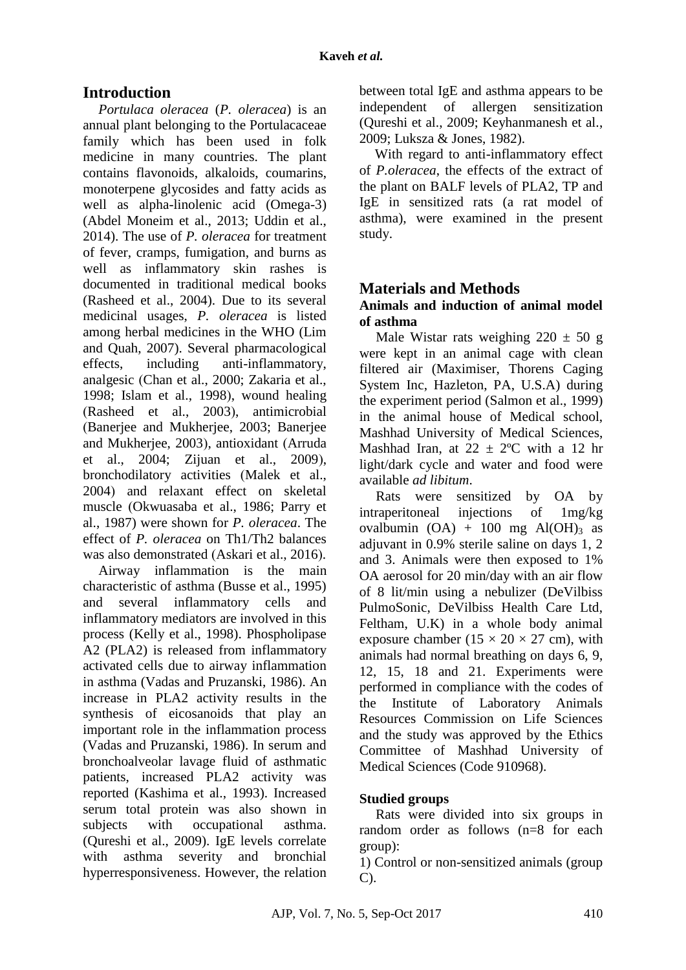# **Introduction**

*Portulaca oleracea* (*P. oleracea*) is an annual plant belonging to the Portulacaceae family which has been used in folk medicine in many countries. The plant contains flavonoids, alkaloids, coumarins, monoterpene glycosides and fatty acids as well as alpha-linolenic acid (Omega-3) (Abdel Moneim et al., 2013; Uddin et al., 2014). The use of *P. oleracea* for treatment of fever, cramps, fumigation, and burns as well as inflammatory skin rashes is documented in traditional medical books (Rasheed et al., 2004). Due to its several medicinal usages, *P. oleracea* is listed among herbal medicines in the WHO (Lim and Quah, 2007). Several pharmacological effects, including anti-inflammatory, analgesic )Chan et al., 2000; Zakaria et al., 1998; Islam et al., 1998), wound healing (Rasheed et al., 2003), antimicrobial )Banerjee and Mukherjee, 2003; Banerjee and Mukherjee, 2003), antioxidant (Arruda et al., 2004; Zijuan et al., 2009), bronchodilatory activities (Malek et al., 2004) and relaxant effect on skeletal muscle (Okwuasaba et al., 1986; Parry et al., 1987) were shown for *P. oleracea*. The effect of *P. oleracea* on Th1/Th2 balances was also demonstrated (Askari et al., 2016).

Airway inflammation is the main characteristic of asthma (Busse et al., 1995) and several inflammatory cells and inflammatory mediators are involved in this process (Kelly et al., 1998). Phospholipase A2 (PLA2) is released from inflammatory activated cells due to airway inflammation in asthma (Vadas and Pruzanski, 1986). An increase in PLA2 activity results in the synthesis of eicosanoids that play an important role in the inflammation process (Vadas and Pruzanski, 1986). In serum and bronchoalveolar lavage fluid of asthmatic patients, increased PLA2 activity was reported (Kashima et al., 1993). Increased serum total protein was also shown in subjects with occupational asthma. (Qureshi et al., 2009). IgE levels correlate with asthma severity and bronchial hyperresponsiveness. However, the relation between total IgE and asthma appears to be independent of allergen sensitization (Qureshi et al., 2009; Keyhanmanesh et al., 2009; Luksza & Jones, 1982).

With regard to anti-inflammatory effect of *P.oleracea*, the effects of the extract of the plant on BALF levels of PLA2, TP and IgE in sensitized rats (a rat model of asthma), were examined in the present study.

# **Materials and Methods**

### **Animals and induction of animal model of asthma**

Male Wistar rats weighing  $220 \pm 50$  g were kept in an animal cage with clean filtered air (Maximiser, Thorens Caging System Inc, Hazleton, PA, U.S.A) during the experiment period (Salmon et al., 1999) in the animal house of Medical school, Mashhad University of Medical Sciences, Mashhad Iran, at  $22 \pm 2$ °C with a 12 hr light/dark cycle and water and food were available *ad libitum*.

Rats were sensitized by OA by intraperitoneal injections of 1mg/kg ovalbumin  $(OA) + 100$  mg  $Al(OH)_3$  as adjuvant in 0.9% sterile saline on days 1, 2 and 3. Animals were then exposed to 1% OA aerosol for 20 min/day with an air flow of 8 lit/min using a nebulizer (DeVilbiss PulmoSonic, DeVilbiss Health Care Ltd, Feltham, U.K) in a whole body animal exposure chamber ( $15 \times 20 \times 27$  cm), with animals had normal breathing on days 6, 9, 12, 15, 18 and 21. Experiments were performed in compliance with the codes of the Institute of Laboratory Animals Resources Commission on Life Sciences and the study was approved by the Ethics Committee of Mashhad University of Medical Sciences (Code 910968).

# **Studied groups**

Rats were divided into six groups in random order as follows (n=8 for each group):

1) Control or non-sensitized animals (group C).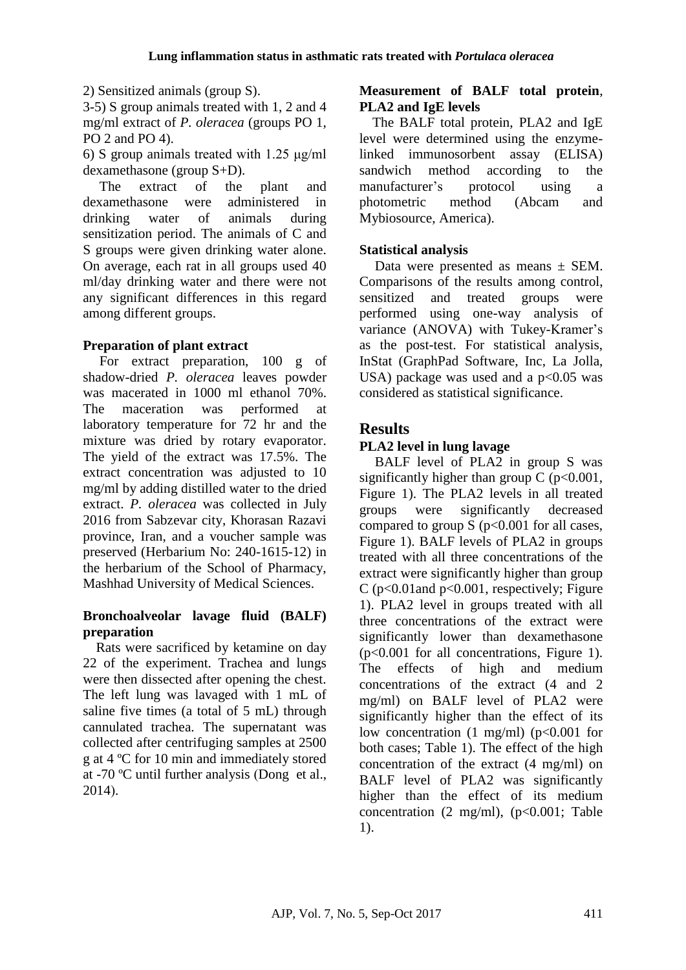2) Sensitized animals (group S).

3-5) S group animals treated with 1, 2 and 4 mg/ml extract of *P. oleracea* (groups PO 1, PO 2 and PO 4).

6) S group animals treated with 1.25 μg/ml dexamethasone (group S+D).

The extract of the plant and dexamethasone were administered in drinking water of animals during sensitization period. The animals of C and S groups were given drinking water alone. On average, each rat in all groups used 40 ml/day drinking water and there were not any significant differences in this regard among different groups.

### **Preparation of plant extract**

For extract preparation, 100 g of shadow-dried *P. oleracea* leaves powder was macerated in 1000 ml ethanol 70%. The maceration was performed at laboratory temperature for 72 hr and the mixture was dried by rotary evaporator. The yield of the extract was 17.5%. The extract concentration was adjusted to 10 mg/ml by adding distilled water to the dried extract. *P. oleracea* was collected in July 2016 from Sabzevar city, Khorasan Razavi province, Iran, and a voucher sample was preserved (Herbarium No: 240-1615-12) in the herbarium of the School of Pharmacy, Mashhad University of Medical Sciences.

#### **Bronchoalveolar lavage fluid (BALF) preparation**

Rats were sacrificed by ketamine on day 22 of the experiment. Trachea and lungs were then dissected after opening the chest. The left lung was lavaged with 1 mL of saline five times (a total of 5 mL) through cannulated trachea. The supernatant was collected after centrifuging samples at 2500 g at 4 ºC for 10 min and immediately stored at -70  $^{\circ}$ C until further analysis (Dong et al., 2014).

### **Measurement of BALF total protein**, **PLA2 and IgE levels**

The BALF total protein, PLA2 and IgE level were determined using the enzymelinked immunosorbent assay (ELISA) sandwich method according to the manufacturer's protocol using a photometric method (Abcam and Mybiosource, America).

### **Statistical analysis**

Data were presented as means  $\pm$  SEM. Comparisons of the results among control, sensitized and treated groups were performed using one-way analysis of variance (ANOVA) with Tukey-Kramer's as the post-test. For statistical analysis, InStat (GraphPad Software, Inc, La Jolla, USA) package was used and a  $p<0.05$  was considered as statistical significance.

# **Results**

## **PLA2 level in lung lavage**

BALF level of PLA2 in group S was significantly higher than group C ( $p<0.001$ , Figure 1). The PLA2 levels in all treated groups were significantly decreased compared to group  $S$  ( $p<0.001$  for all cases, Figure 1). BALF levels of PLA2 in groups treated with all three concentrations of the extract were significantly higher than group C ( $p<0.01$  and  $p<0.001$ , respectively; Figure 1). PLA2 level in groups treated with all three concentrations of the extract were significantly lower than dexamethasone (p<0.001 for all concentrations, Figure 1). The effects of high and medium concentrations of the extract (4 and 2 mg/ml) on BALF level of PLA2 were significantly higher than the effect of its low concentration  $(1 \text{ mg/ml})$   $(p<0.001$  for both cases; Table 1). The effect of the high concentration of the extract (4 mg/ml) on BALF level of PLA2 was significantly higher than the effect of its medium concentration  $(2 \text{ mg/ml})$ ,  $(p<0.001$ ; Table 1).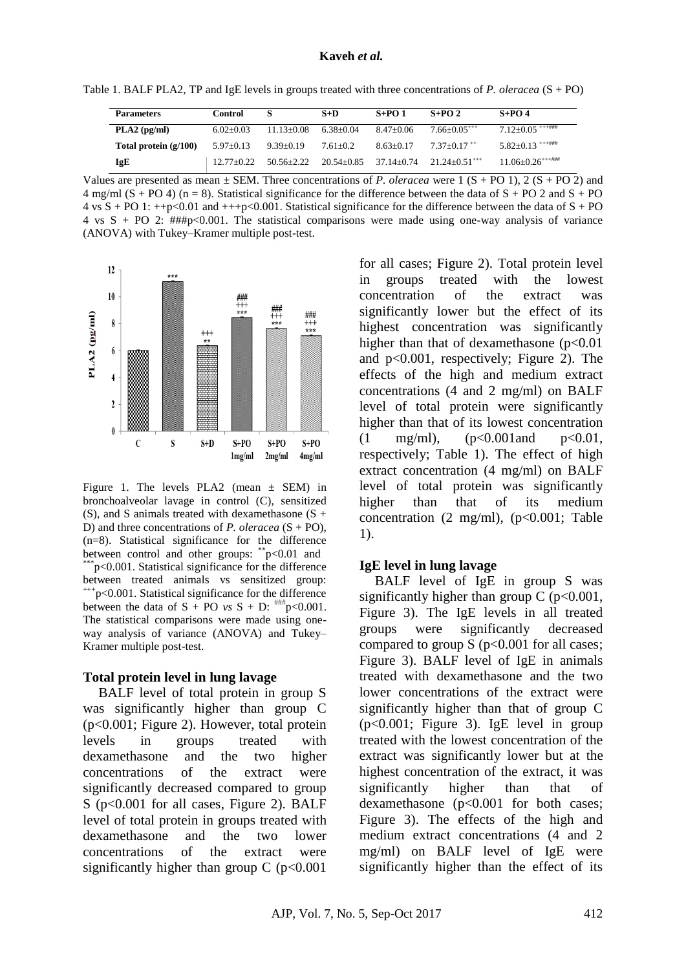Table 1. BALF PLA2, TP and IgE levels in groups treated with three concentrations of *P. oleracea* (S + PO)

| <b>Parameters</b>       | <b>Control</b> | s              | $S+D$        | $S+PO1$                   | $S+PO2$                     | $S+PO4$                                  |
|-------------------------|----------------|----------------|--------------|---------------------------|-----------------------------|------------------------------------------|
| $PLA2$ (pg/ml)          | $6.02+0.03$    | $11.13+0.08$   | $6.38+0.04$  | $8.47+0.06$               | $7.66+0.05***$              | $7.12+0.05$ <sup>+++###</sup>            |
| Total protein $(g/100)$ | $5.97+0.13$    | $9.39 + 0.19$  | $7.61 + 0.2$ | $8.63+0.17$               | $7.37+0.17$ <sup>++</sup>   | $5.82+0.13$ *********                    |
| <b>IgE</b>              | $12.77+0.22$   | $50.56 + 2.22$ |              | $20.54+0.85$ $37.14+0.74$ | $21.24+0.51$ <sup>+++</sup> | $11.06 + 0.26$ <sup>**************</sup> |

Values are presented as mean  $\pm$  SEM. Three concentrations of *P. oleracea* were 1 (S + PO 1), 2 (S + PO 2) and 4 mg/ml (S + PO 4) (n = 8). Statistical significance for the difference between the data of S + PO 2 and S + PO  $4 \text{ vs } S + \text{PO} 1$ :  $++p < 0.01$  and  $++p < 0.001$ . Statistical significance for the difference between the data of  $S + \text{PO}$ 4 vs S + PO 2:  $\# \# p$ <0.001. The statistical comparisons were made using one-way analysis of variance (ANOVA) with Tukey–Kramer multiple post-test.



Figure 1. The levels PLA2 (mean  $\pm$  SEM) in bronchoalveolar lavage in control (C), sensitized (S), and S animals treated with dexamethasone  $(S +$ D) and three concentrations of *P. oleracea* (S + PO), (n=8). Statistical significance for the difference between control and other groups: \*\*p<0.01 and  $*$ p<0.001. Statistical significance for the difference between treated animals vs sensitized group:  $^{+++}p<0.001$ . Statistical significance for the difference between the data of  $S + PO$  *vs*  $S + D$ :  $\frac{\text{num}}{\text{p}} < 0.001$ . The statistical comparisons were made using oneway analysis of variance (ANOVA) and Tukey– Kramer multiple post-test.

#### **Total protein level in lung lavage**

BALF level of total protein in group S was significantly higher than group C (p<0.001; Figure 2). However, total protein levels in groups treated with dexamethasone and the two higher concentrations of the extract were significantly decreased compared to group S (p<0.001 for all cases, Figure 2). BALF level of total protein in groups treated with dexamethasone and the two lower concentrations of the extract were significantly higher than group  $C$  ( $p<0.001$ )

for all cases; Figure 2). Total protein level in groups treated with the lowest concentration of the extract was significantly lower but the effect of its highest concentration was significantly higher than that of dexamethasone  $(p<0.01$ and p<0.001, respectively; Figure 2). The effects of the high and medium extract concentrations (4 and 2 mg/ml) on BALF level of total protein were significantly higher than that of its lowest concentration  $(1 \text{mg/ml})$ ,  $(p<0.001$  and  $p<0.01$ , respectively; Table 1). The effect of high extract concentration (4 mg/ml) on BALF level of total protein was significantly higher than that of its medium concentration  $(2 \text{ mg/ml})$ ,  $(p<0.001$ ; Table 1).

#### **IgE level in lung lavage**

BALF level of IgE in group S was significantly higher than group C ( $p < 0.001$ , Figure 3). The IgE levels in all treated groups were significantly decreased compared to group  $S$  ( $p<0.001$  for all cases; Figure 3). BALF level of IgE in animals treated with dexamethasone and the two lower concentrations of the extract were significantly higher than that of group C (p<0.001; Figure 3). IgE level in group treated with the lowest concentration of the extract was significantly lower but at the highest concentration of the extract, it was significantly higher than that of dexamethasone (p<0.001 for both cases; Figure 3). The effects of the high and medium extract concentrations (4 and 2 mg/ml) on BALF level of IgE were significantly higher than the effect of its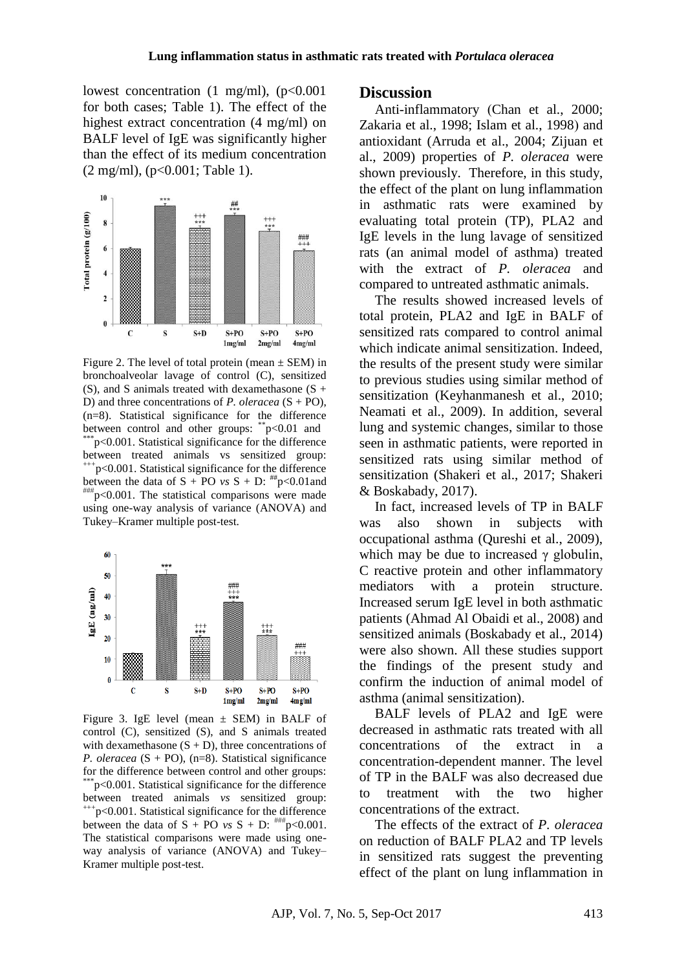lowest concentration  $(1 \text{ mg/ml})$ ,  $(p<0.001$ for both cases; Table 1). The effect of the highest extract concentration (4 mg/ml) on BALF level of IgE was significantly higher than the effect of its medium concentration (2 mg/ml), (p<0.001; Table 1).



Figure 2. The level of total protein (mean  $\pm$  SEM) in bronchoalveolar lavage of control (C), sensitized (S), and S animals treated with dexamethasone  $(S +$ D) and three concentrations of *P. oleracea* (S + PO), (n=8). Statistical significance for the difference between control and other groups: \*\*p<0.01 and  $p$ <0.001. Statistical significance for the difference between treated animals vs sensitized group:  $^{+++}p<0.001$ . Statistical significance for the difference between the data of  $S + PO$  *vs*  $S + D$ :  $^{**}p < 0.01$  and  $H^{\text{H}}$  p<0.001. The statistical comparisons were made using one-way analysis of variance (ANOVA) and Tukey–Kramer multiple post-test.



Figure 3. IgE level (mean  $\pm$  SEM) in BALF of control (C), sensitized (S), and S animals treated with dexamethasone  $(S + D)$ , three concentrations of *P. oleracea* (S + PO), (n=8). Statistical significance for the difference between control and other groups:  $p<0.001$ . Statistical significance for the difference between treated animals *vs* sensitized group:  $^{+++}p<0.001$ . Statistical significance for the difference between the data of  $S$  + PO *vs*  $S$  + D:  $\frac{\text{mm}}{10}$   $\leq$  0.001. The statistical comparisons were made using oneway analysis of variance (ANOVA) and Tukey– Kramer multiple post-test.

#### **Discussion**

Anti-inflammatory (Chan et al., 2000; Zakaria et al., 1998; Islam et al., 1998) and antioxidant (Arruda et al., 2004; Zijuan et al., 2009) properties of *P. oleracea* were shown previously. Therefore, in this study, the effect of the plant on lung inflammation in asthmatic rats were examined by evaluating total protein (TP), PLA2 and IgE levels in the lung lavage of sensitized rats (an animal model of asthma) treated with the extract of *P. oleracea* and compared to untreated asthmatic animals.

The results showed increased levels of total protein, PLA2 and IgE in BALF of sensitized rats compared to control animal which indicate animal sensitization. Indeed, the results of the present study were similar to previous studies using similar method of sensitization (Keyhanmanesh et al., 2010; [Neamati et](https://www.ncbi.nlm.nih.gov/pubmed/?term=Neamati%20A%5BAuthor%5D&cauthor=true&cauthor_uid=19703069) al., 2009). In addition, several lung and systemic changes, similar to those seen in asthmatic patients, were reported in sensitized rats using similar method of sensitization (Shakeri et al., 2017; Shakeri & Boskabady, 2017).

In fact, increased levels of TP in BALF was also shown in subjects with occupational asthma (Qureshi et al., 2009), which may be due to increased  $\gamma$  globulin, C reactive protein and other inflammatory mediators with a protein structure. Increased serum IgE level in both asthmatic patients (Ahmad Al Obaidi et al., 2008) and sensitized animals (Boskabady et al., 2014) were also shown. All these studies support the findings of the present study and confirm the induction of animal model of asthma (animal sensitization).

BALF levels of PLA2 and IgE were decreased in asthmatic rats treated with all concentrations of the extract in a concentration-dependent manner. The level of TP in the BALF was also decreased due to treatment with the two higher concentrations of the extract.

The effects of the extract of *P. oleracea* on reduction of BALF PLA2 and TP levels in sensitized rats suggest the preventing effect of the plant on lung inflammation in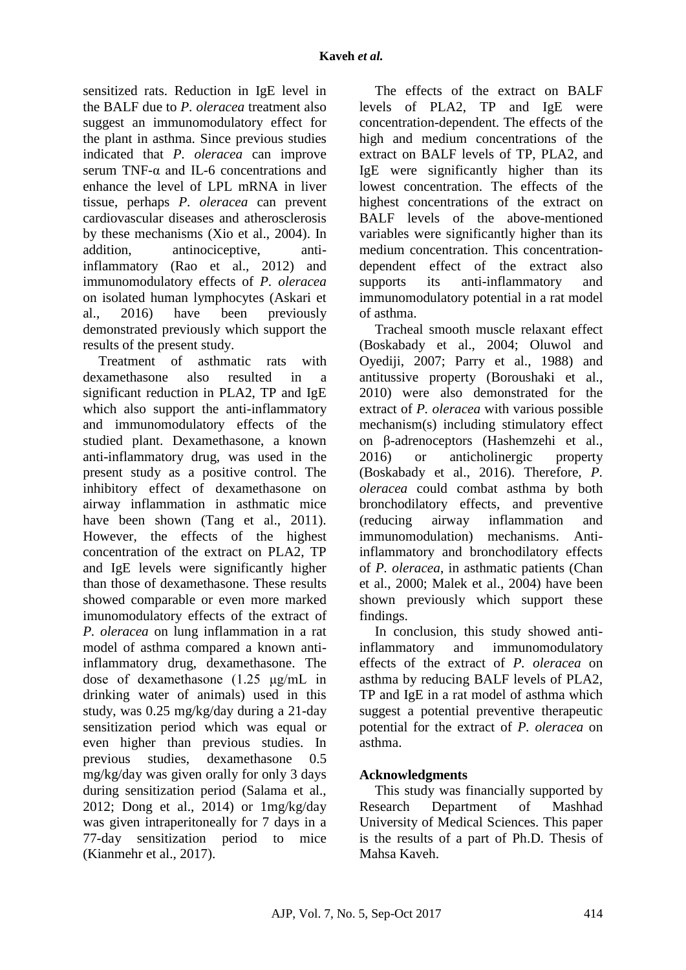sensitized rats. Reduction in IgE level in the BALF due to *P. oleracea* treatment also suggest an immunomodulatory effect for the plant in asthma. Since previous studies indicated that *P. oleracea* can improve serum TNF- $\alpha$  and IL-6 concentrations and enhance the level of LPL mRNA in liver tissue, perhaps *P. oleracea* can prevent cardiovascular diseases and atherosclerosis by these mechanisms (Xio et al., 2004). In addition, antinociceptive, antiinflammatory (Rao et al., 2012) and immunomodulatory effects of *P. oleracea*  on isolated human lymphocytes (Askari et al., 2016) have been previously demonstrated previously which support the results of the present study.

Treatment of asthmatic rats with dexamethasone also resulted in a significant reduction in PLA2, TP and IgE which also support the anti-inflammatory and immunomodulatory effects of the studied plant. Dexamethasone, a known anti-inflammatory drug, was used in the present study as a positive control. The inhibitory effect of dexamethasone on airway inflammation in asthmatic mice have been shown (Tang et al., 2011). However, the effects of the highest concentration of the extract on PLA2, TP and IgE levels were significantly higher than those of dexamethasone. These results showed comparable or even more marked imunomodulatory effects of the extract of *P. oleracea* on lung inflammation in a rat model of asthma compared a known antiinflammatory drug, dexamethasone. The dose of dexamethasone (1.25 μg/mL in drinking water of animals) used in this study, was 0.25 mg/kg/day during a 21-day sensitization period which was equal or even higher than previous studies. In previous studies, dexamethasone 0.5 mg/kg/day was given orally for only 3 days during sensitization period (Salama et al., 2012; Dong et al., 2014) or  $1mg/kg/day$ was given intraperitoneally for 7 days in a 77-day sensitization period to mice (Kianmehr et al., 2017).

The effects of the extract on BALF levels of PLA2, TP and IgE were concentration-dependent. The effects of the high and medium concentrations of the extract on BALF levels of TP, PLA2, and IgE were significantly higher than its lowest concentration. The effects of the highest concentrations of the extract on BALF levels of the above-mentioned variables were significantly higher than its medium concentration. This concentrationdependent effect of the extract also supports its anti-inflammatory and immunomodulatory potential in a rat model of asthma.

Tracheal smooth muscle relaxant effect (Boskabady et al., 2004; Oluwol and Oyediji, 2007; Parry et al., 1988) and antitussive property (Boroushaki et al., 2010) were also demonstrated for the extract of *P. oleracea* with various possible mechanism(s) including stimulatory effect on β-adrenoceptors (Hashemzehi et al., 2016) or anticholinergic property (Boskabady et al., 2016). Therefore, *P. oleracea* could combat asthma by both bronchodilatory effects, and preventive (reducing airway inflammation and immunomodulation) mechanisms. Antiinflammatory and bronchodilatory effects of *P. oleracea*, in asthmatic patients (Chan et al., 2000; Malek et al., 2004) have been shown previously which support these findings.

In conclusion, this study showed antiinflammatory and immunomodulatory effects of the extract of *P. oleracea* on asthma by reducing BALF levels of PLA2, TP and IgE in a rat model of asthma which suggest a potential preventive therapeutic potential for the extract of *P. oleracea* on asthma.

### **Acknowledgments**

This study was financially supported by Research Department of Mashhad University of Medical Sciences. This paper is the results of a part of Ph.D. Thesis of Mahsa Kaveh.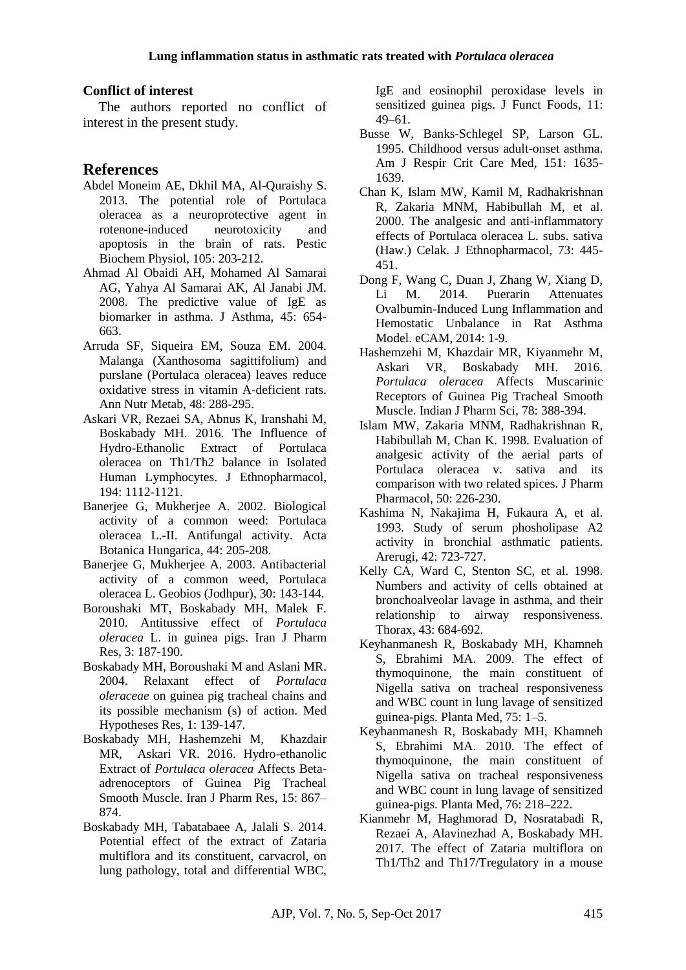#### **Conflict of interest**

The authors reported no conflict of interest in the present study.

#### **References**

- Abdel Moneim AE, Dkhil MA, Al-Quraishy S. 2013. The potential role of Portulaca oleracea as a neuroprotective agent in rotenone-induced neurotoxicity and apoptosis in the brain of rats. Pestic Biochem Physiol, 105: 203-212.
- Ahmad Al Obaidi AH, Mohamed Al Samarai AG, Yahya Al Samarai AK, Al Janabi JM. 2008. The predictive value of IgE as biomarker in asthma. J Asthma, 45: 654- 663.
- Arruda SF, Siqueira EM, Souza EM. 2004. Malanga (Xanthosoma sagittifolium) and purslane (Portulaca oleracea) leaves reduce oxidative stress in vitamin A-deficient rats. Ann Nutr Metab, 48: 288-295.
- Askari VR, Rezaei SA, Abnus K, Iranshahi M, Boskabady MH. 2016. The Influence of Hydro-Ethanolic Extract of Portulaca oleracea on Th1/Th2 balance in Isolated Human Lymphocytes. J Ethnopharmacol, 194: 1112-1121.
- Banerjee G, Mukherjee A. 2002. Biological activity of a common weed: Portulaca oleracea L.-II. Antifungal activity. Acta Botanica Hungarica, 44: 205-208.
- Banerjee G, Mukherjee A. 2003. Antibacterial activity of a common weed, Portulaca oleracea L. Geobios (Jodhpur), 30: 143-144.
- Boroushaki MT, Boskabady MH, Malek F. 2010. Antitussive effect of *Portulaca oleracea* L. in guinea pigs. Iran J Pharm Res, 3: 187-190.
- Boskabady MH, Boroushaki M and Aslani MR. 2004. Relaxant effect of *Portulaca oleraceae* on guinea pig tracheal chains and its possible mechanism (s) of action. Med Hypotheses Res, 1: 139-147.
- Boskabady [MH, H](https://www.ncbi.nlm.nih.gov/pubmed/?term=Boskabady%20MH%5BAuthor%5D&cauthor=true&cauthor_uid=28243284)ashemzehi [M,](https://www.ncbi.nlm.nih.gov/pubmed/?term=Hashemzehi%20M%5BAuthor%5D&cauthor=true&cauthor_uid=28243284) Khazdair [MR,](https://www.ncbi.nlm.nih.gov/pubmed/?term=Khazdair%20MR%5BAuthor%5D&cauthor=true&cauthor_uid=28243284) Askari [VR. 2](https://www.ncbi.nlm.nih.gov/pubmed/?term=Askari%20VR%5BAuthor%5D&cauthor=true&cauthor_uid=28243284)016. Hydro-ethanolic Extract of *Portulaca oleracea* Affects Betaadrenoceptors of Guinea Pig Tracheal Smooth Muscle. [Iran J Pharm Res, 15: 867–](https://www.ncbi.nlm.nih.gov/pmc/journals/2163/) [874.](https://www.ncbi.nlm.nih.gov/pmc/issues/288020/)
- Boskabady MH, Tabatabaee A, Jalali S. 2014. Potential effect of the extract of Zataria multiflora and its constituent, carvacrol, on lung pathology, total and differential WBC,

IgE and eosinophil peroxidase levels in sensitized guinea pigs. [J Funct Foods,](https://www.ncbi.nlm.nih.gov/pubmed/27672403) 11: 49–61.

- Busse W, Banks-Schlegel SP, Larson GL. 1995. Childhood versus adult-onset asthma. Am J Respir Crit Care Med, 151: 1635- 1639.
- Chan K, Islam MW, Kamil M, Radhakrishnan R, Zakaria MNM, Habibullah M, et al. 2000. The analgesic and anti-inflammatory effects of Portulaca oleracea L. subs. sativa (Haw.) Celak. J Ethnopharmacol, 73: 445- 451.
- Dong F, Wang C, Duan J, Zhang W, Xiang D, Li M. 2014. Puerarin Attenuates Ovalbumin-Induced Lung Inflammation and Hemostatic Unbalance in Rat Asthma Model. eCAM, 2014: 1-9.
- Hashemzehi M, Khazdair MR, Kiyanmehr M, Askari VR, Boskabady MH. 2016. *Portulaca oleracea* Affects Muscarinic Receptors of Guinea Pig Tracheal Smooth Muscle. Indian J Pharm Sci, 78: 388-394.
- Islam MW, Zakaria MNM, Radhakrishnan R, Habibullah M, Chan K. 1998. Evaluation of analgesic activity of the aerial parts of Portulaca oleracea v. sativa and its comparison with two related spices. [J Pharm](https://www.ncbi.nlm.nih.gov/pubmed/28543298)  [Pharmacol,](https://www.ncbi.nlm.nih.gov/pubmed/28543298) 50: 226-230.
- Kashima N, Nakajima H, Fukaura A, et al. 1993. Study of serum phosholipase A2 activity in bronchial asthmatic patients. Arerugi, 42: 723-727.
- Kelly CA, Ward C, Stenton SC, et al. 1998. Numbers and activity of cells obtained at bronchoalveolar lavage in asthma, and their relationship to airway responsiveness. Thorax, 43: 684-692.
- Keyhanmanesh R, Boskabady MH, Khamneh S, Ebrahimi MA. 2009. The effect of thymoquinone, the main constituent of Nigella sativa on tracheal responsiveness and WBC count in lung lavage of sensitized guinea-pigs. Planta Med, 75: 1–5.
- Keyhanmanesh R, Boskabady MH, Khamneh S, Ebrahimi MA. 2010. The effect of thymoquinone, the main constituent of Nigella sativa on tracheal responsiveness and WBC count in lung lavage of sensitized guinea-pigs. Planta Med, 76: 218–222.
- Kianmehr M, Haghmorad D, Nosratabadi R, Rezaei A, Alavinezhad A, Boskabady MH. 2017. The effect of Zataria multiflora on Th1/Th2 and Th17/Tregulatory in a mouse